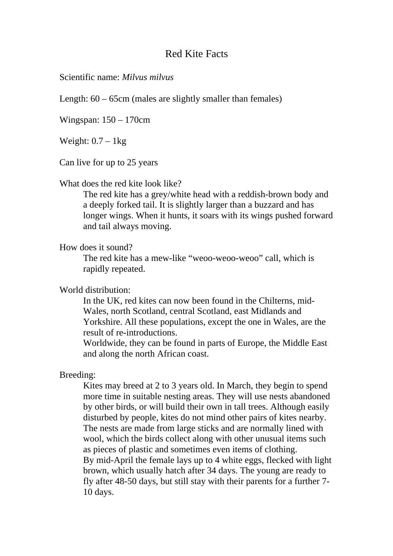# Red Kite Facts

Scientific name: *Milvus milvus* 

Length:  $60 - 65$ cm (males are slightly smaller than females)

Wingspan: 150 – 170cm

Weight:  $0.7 - 1$ kg

Can live for up to 25 years

#### What does the red kite look like?

The red kite has a grey/white head with a reddish-brown body and a deeply forked tail. It is slightly larger than a buzzard and has longer wings. When it hunts, it soars with its wings pushed forward and tail always moving.

## How does it sound?

The red kite has a mew-like "weoo-weoo-weoo" call, which is rapidly repeated.

## World distribution:

In the UK, red kites can now been found in the Chilterns, mid-Wales, north Scotland, central Scotland, east Midlands and Yorkshire. All these populations, except the one in Wales, are the result of re-introductions.

Worldwide, they can be found in parts of Europe, the Middle East and along the north African coast.

# Breeding:

Kites may breed at 2 to 3 years old. In March, they begin to spend more time in suitable nesting areas. They will use nests abandoned by other birds, or will build their own in tall trees. Although easily disturbed by people, kites do not mind other pairs of kites nearby. The nests are made from large sticks and are normally lined with wool, which the birds collect along with other unusual items such as pieces of plastic and sometimes even items of clothing. By mid-April the female lays up to 4 white eggs, flecked with light brown, which usually hatch after 34 days. The young are ready to fly after 48-50 days, but still stay with their parents for a further 7- 10 days.